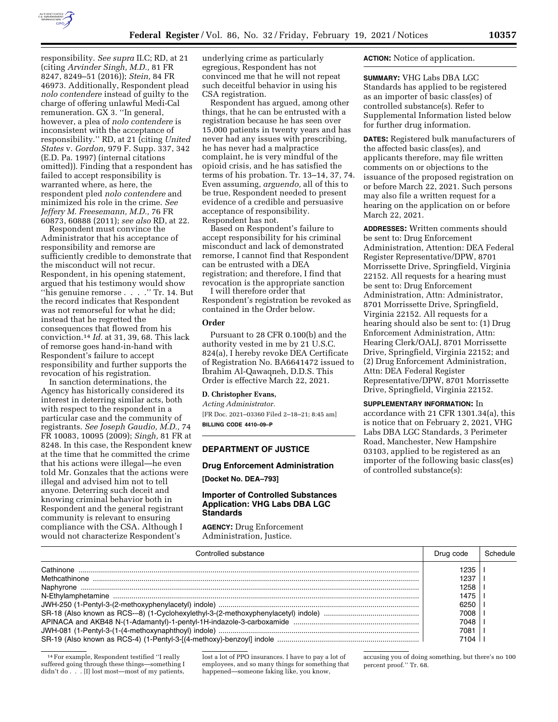

responsibility. *See supra* II.C; RD, at 21 (citing *Arvinder Singh, M.D.,* 81 FR 8247, 8249–51 (2016)); *Stein,* 84 FR 46973. Additionally, Respondent plead *nolo contendere* instead of guilty to the charge of offering unlawful Medi-Cal remuneration. GX 3. ''In general, however, a plea of *nolo contendere* is inconsistent with the acceptance of responsibility.'' RD, at 21 (citing *United States* v. *Gordon,* 979 F. Supp. 337, 342 (E.D. Pa. 1997) (internal citations omitted)). Finding that a respondent has failed to accept responsibility is warranted where, as here, the respondent pled *nolo contendere* and minimized his role in the crime. *See Jeffery M. Freesemann, M.D.,* 76 FR 60873, 60888 (2011); *see also* RD, at 22.

Respondent must convince the Administrator that his acceptance of responsibility and remorse are sufficiently credible to demonstrate that the misconduct will not recur. Respondent, in his opening statement, argued that his testimony would show ''his genuine remorse . . . .'' Tr. 14. But the record indicates that Respondent was not remorseful for what he did; instead that he regretted the consequences that flowed from his conviction.14 *Id.* at 31, 39, 68. This lack of remorse goes hand-in-hand with Respondent's failure to accept responsibility and further supports the revocation of his registration.

In sanction determinations, the Agency has historically considered its interest in deterring similar acts, both with respect to the respondent in a particular case and the community of registrants. *See Joseph Gaudio, M.D.,* 74 FR 10083, 10095 (2009); *Singh,* 81 FR at 8248. In this case, the Respondent knew at the time that he committed the crime that his actions were illegal—he even told Mr. Gonzales that the actions were illegal and advised him not to tell anyone. Deterring such deceit and knowing criminal behavior both in Respondent and the general registrant community is relevant to ensuring compliance with the CSA. Although I would not characterize Respondent's

underlying crime as particularly egregious, Respondent has not convinced me that he will not repeat such deceitful behavior in using his CSA registration.

Respondent has argued, among other things, that he can be entrusted with a registration because he has seen over 15,000 patients in twenty years and has never had any issues with prescribing, he has never had a malpractice complaint, he is very mindful of the opioid crisis, and he has satisfied the terms of his probation. Tr. 13–14, 37, 74. Even assuming, *arguendo,* all of this to be true, Respondent needed to present evidence of a credible and persuasive acceptance of responsibility. Respondent has not.

Based on Respondent's failure to accept responsibility for his criminal misconduct and lack of demonstrated remorse, I cannot find that Respondent can be entrusted with a DEA registration; and therefore, I find that revocation is the appropriate sanction

I will therefore order that Respondent's registration be revoked as contained in the Order below.

### **Order**

Pursuant to 28 CFR 0.100(b) and the authority vested in me by 21 U.S.C. 824(a), I hereby revoke DEA Certificate of Registration No. BA6641472 issued to Ibrahim Al-Qawaqneh, D.D.S. This Order is effective March 22, 2021.

#### **D. Christopher Evans,**

*Acting Administrator.*  [FR Doc. 2021–03360 Filed 2–18–21; 8:45 am] **BILLING CODE 4410–09–P** 

#### **DEPARTMENT OF JUSTICE**

## **Drug Enforcement Administration**

**[Docket No. DEA–793]** 

### **Importer of Controlled Substances Application: VHG Labs DBA LGC Standards**

**AGENCY:** Drug Enforcement Administration, Justice.

### **ACTION:** Notice of application.

**SUMMARY:** VHG Labs DBA LGC Standards has applied to be registered as an importer of basic class(es) of controlled substance(s). Refer to Supplemental Information listed below for further drug information.

**DATES:** Registered bulk manufacturers of the affected basic class(es), and applicants therefore, may file written comments on or objections to the issuance of the proposed registration on or before March 22, 2021. Such persons may also file a written request for a hearing on the application on or before March 22, 2021.

**ADDRESSES:** Written comments should be sent to: Drug Enforcement Administration, Attention: DEA Federal Register Representative/DPW, 8701 Morrissette Drive, Springfield, Virginia 22152. All requests for a hearing must be sent to: Drug Enforcement Administration, Attn: Administrator, 8701 Morrissette Drive, Springfield, Virginia 22152. All requests for a hearing should also be sent to: (1) Drug Enforcement Administration, Attn: Hearing Clerk/OALJ, 8701 Morrissette Drive, Springfield, Virginia 22152; and (2) Drug Enforcement Administration, Attn: DEA Federal Register Representative/DPW, 8701 Morrissette Drive, Springfield, Virginia 22152.

**SUPPLEMENTARY INFORMATION:** In accordance with 21 CFR 1301.34(a), this is notice that on February 2, 2021, VHG Labs DBA LGC Standards, 3 Perimeter Road, Manchester, New Hampshire 03103, applied to be registered as an importer of the following basic class(es) of controlled substance(s):

| Controlled substance | Drug code | Schedule |
|----------------------|-----------|----------|
|                      |           |          |
|                      | 1237      |          |
|                      | 1258      |          |
|                      | 1475      |          |
|                      | 6250      |          |
|                      | 7008      |          |
|                      | 7048      |          |
|                      | 7081      |          |
|                      |           |          |

<sup>14</sup>For example, Respondent testified ''I really suffered going through these things—something I didn't do . . . [I] lost most—most of my patients,

lost a lot of PPO insurances. I have to pay a lot of employees, and so many things for something that happened—someone faking like, you know,

accusing you of doing something, but there's no 100 percent proof.'' Tr. 68.